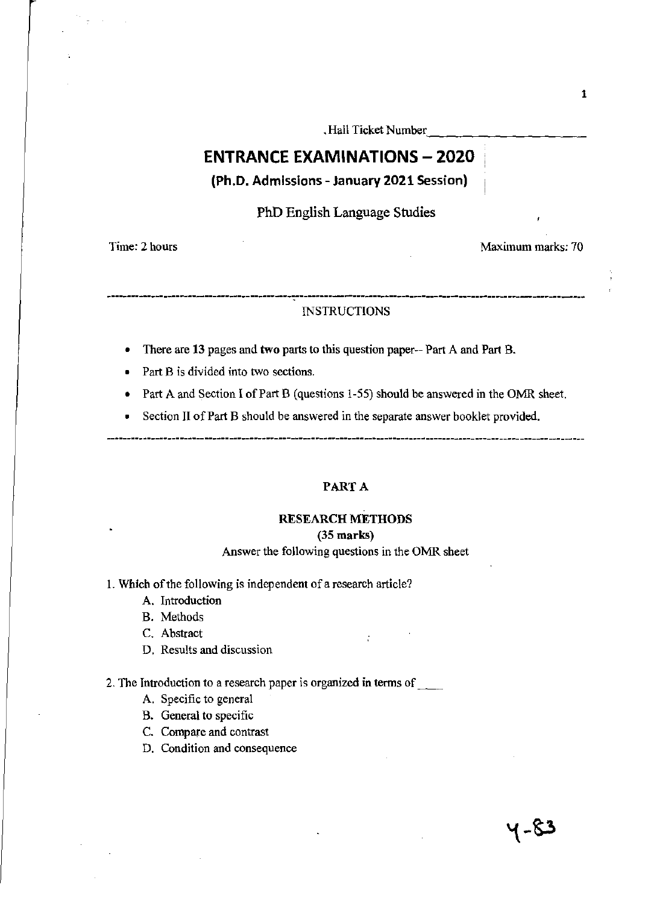. Hall Ticket Number

# **ENTRANCE EXAMINATIONS - 2020**

(Ph.D. Admissions - January 2021 Session)

PhD English Language Studies

Time: 2 hours

Maximum marks: 70

## .--.-----.---------------.--.---.-----.--------------.---.---.------------------------------------ INSTRUCTIONS

- There are **13** pages and two parts to this question paper-- Part A and Part B.
- Part B is divided into two sections.
- Part A and Section I of Part B (questions 1-55) should be answered in the OMR sheet.
- Section II of Part B should be answered in the separate answer booklet provided.

### PART A

#### RESEARCH METHODS

#### (35 marks)

### Answer the following questions in the OMR sheet

 $\frac{1}{k}$ 

- 1. Which of the following is independent of a research article?
	- A. Introduction
	- B. Methods
	- C. Abstract
	- D. Results and discussion

### 2. The Introduction to a research paper is organized in terms of  $\qquad$

- A. Specific to general
- B. General to specific
- C. Compare and contrast
- D. Condition and consequence

५-८३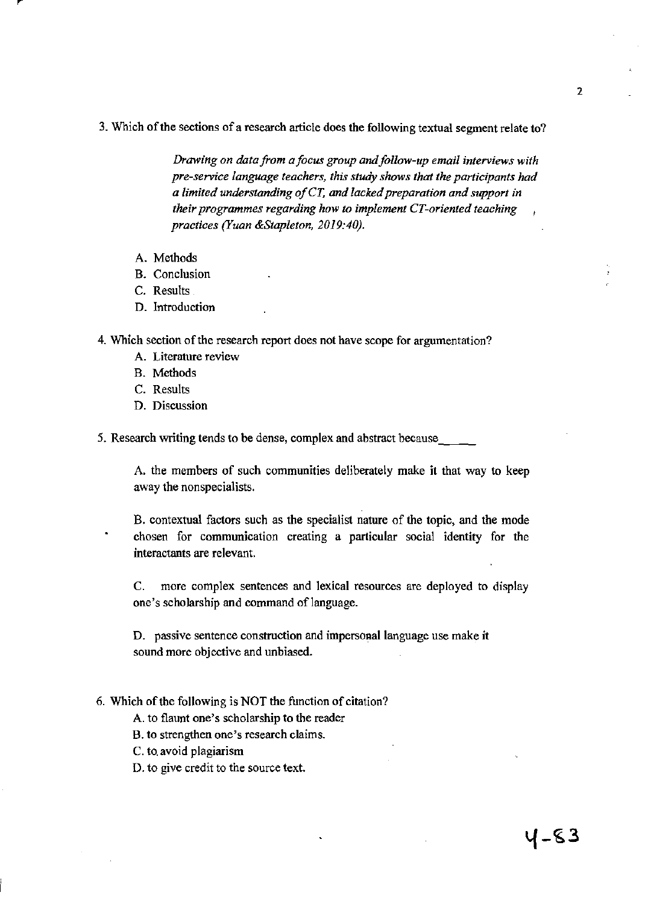3. Which of the sections of a research article does the following textual segment relate to?

*Drawing on data from a focus group and follow-up email interviews with pre-service language teachers, this study shows that the participants had a limited understanding of CT, and lacked preparation and support in their programmes regarding how to implement CT-oriented teaching practices (Yuan &Stap/eton, 2019:40).* 

- A. Methods
- B. Conclusion
- C. Results
- D. Introduction
- 4. Which section of the research report does not have scope for argumentation?
	- A. Literature review
	- B. Methods
	- C. Results
	- D. Discussion

5. Research writing tends to be dense, complex and abstract because

A. the members of such communities deliberately make it that way to keep away the nonspecialists.

B. contextual factors such as the specialist nature of the topic, and the mode chosen for communication creating a particular social identity for the interactants are relevant.

C. more complex sentences and lexical resources are deployed to display one's scholarship and command of language.

D. passive sentence construction and impersonal language use make it sound more objective and unbiased.

6. Which of the following is NOT the function of citation?

A. to flaunt one's sCholarship to the reader

B. to strengthen one's research claims.

C. to. avoid plagiarism

D. to give credit to the source text.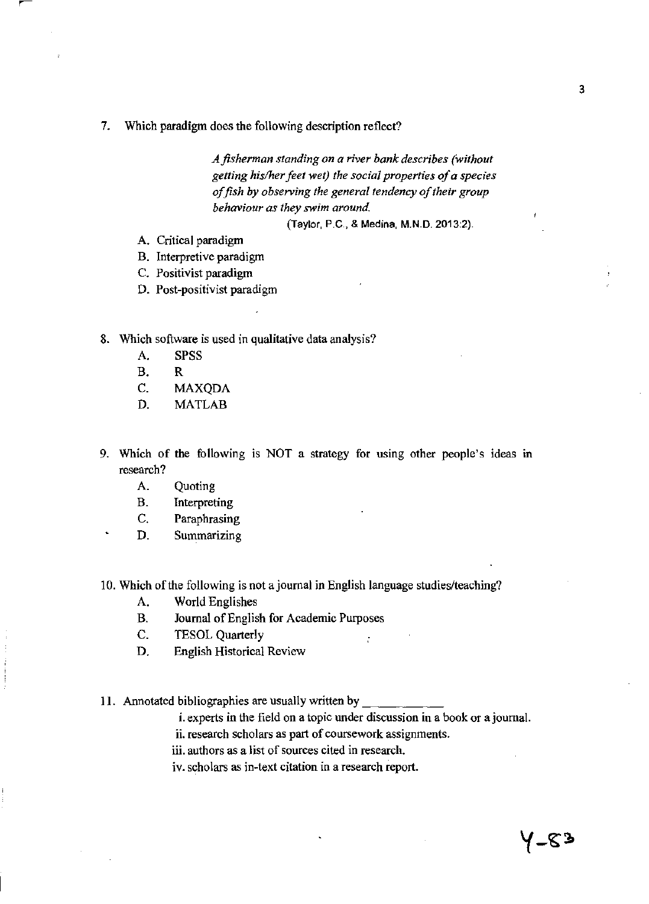7. Which paradigm does the following description reflect?

*Afisherman standing on a river bank describes (without getting his/her feet wet) the social properties of a species of fish* by *observing the general tendency of their group behaviour as they swim around* 

(Taylor, P.C., & Medina, M.N.D. 2013:2).

- A. Critical paradigm
- B. Interpretive paradigm
- C. Positivist paradigm
- D. Post-positivist paradigm
- 8. Which software is used in qualitative data analysis?
	- A. SPSS
	- B. R
	- C. MAXQDA
	- D. MATLAB
- 9. Which of the following is NOT a strategy for using other people's ideas in research?
	- A. Quoting
	- B. Interpreting
	- C. Paraphrasing
	- D. Summarizing
- 10. Which of the following is not ajoumal in English language studies/teaching?
	- A. World Englishes
	- B. Journal of English for Academic Purposes
	- C. TESOL Quarterly
	- D. English Historical Review

11. Annotated bibliographies are usually written by

- i. experts in the field on a topic under discussion in a book or ajournal.
- ii. research scholars as part of coursework assignments.
- iii. authors as a list of sources cited in research.

iv. scholars as in-text citation in a research report.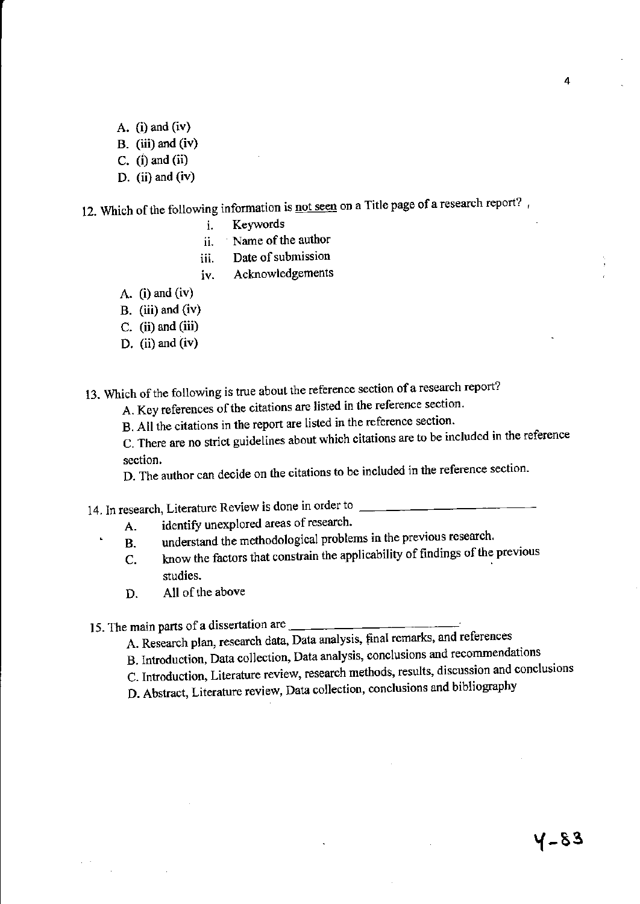- A.  $(i)$  and  $(iv)$
- B. (iii) and (iv)
- C.  $(i)$  and  $(ii)$
- D. (ii) and  $(iv)$

12. Which of the following information is not seen on a Title page of a research report?,

- i. Keywords
- ii. Name of the author
- iii. Date of submission
- iv. Acknowledgements
- A.  $(i)$  and  $(iv)$
- B. (iii) and  $(iv)$
- C. (ii) and (iii)
- D. (ii) and  $(iv)$

13. Which of the following is true about the reference section of a research report?

A. Key references of the citations are listed in the reference section.

B. All the citations in the report are listed in the reference section.

C. There are no strict guidelines about which citations are to be included in the reference section.

D. The author can decide on the citations to be included in the reference section.

14. In research, Literature Review is done in order to \_\_\_\_\_\_\_\_

- A. identify unexplored areas of research.
- B. understand the methodological problems in the previous research.
- C. know the factors that constrain the applicability of findings of the previous studies.
- D. All of the above

15. The main parts of a dissertation are \_\_\_\_\_\_\_

- A. Research plan, research data, Data analysis, final remarks, and references
- B. Introduction, Data col1ection, Data analysis, conclusions and recommendations
- C. Introduction, Literature review, research methods, results, discussion and conclusions
- D. Abstract, Literature review, Data collection, conclusions and bibliography

4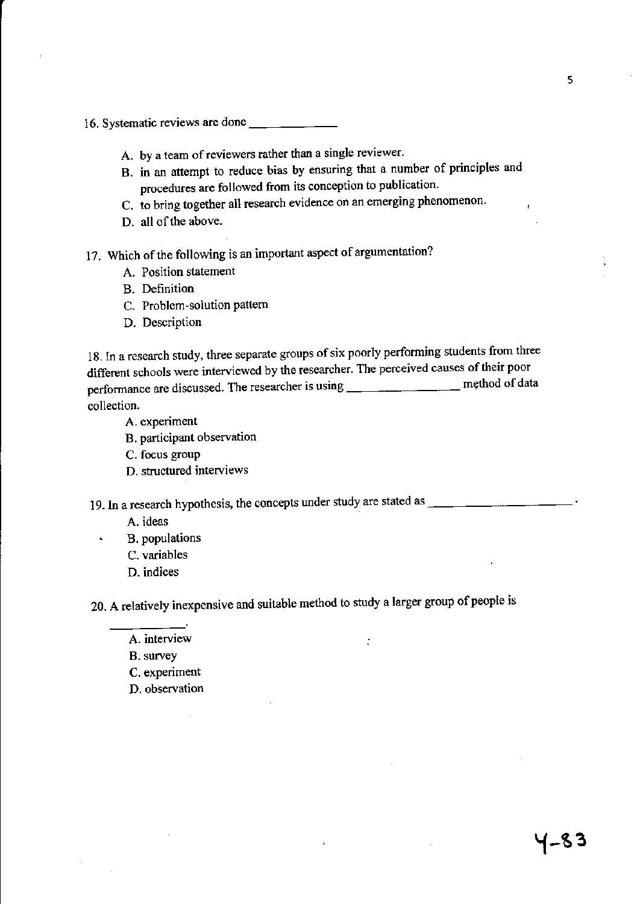16. Systematic reviews are done

- A. by a team of reviewers rather than a single reviewer.
- B. in an attempt to reduce bias by ensuring that a number of principles and procedures are followed from its conception to publication.
- C. to bring together all research evidence on an emerging phenomenon.
- D. all of the above.
- 17. Which of the following is an important aspect of argumentation?
	- A. Position statement
	- B. Definition
	- C. Problem-solution pattern
	- D. Description

18. In a research study, three separate groups of six poorly performing students from three different schools were interviewed by the researcher. The perceived causes of their poor performance are discussed. The researcher is using \_\_\_\_\_\_\_\_\_\_\_\_\_\_\_\_\_\_\_\_ method of data collection.

- A. experiment
- B. participant observation
- C. focus group
- D. structured interviews

19. In a research hypothesis, the concepts under study are stated as \_\_\_\_\_\_\_\_\_ \_

- A. ideas
- B. populations
	- C. variables
	- D. indices

20. A relatively inexpensive and suitable method to study a larger group of people is

 $\ddot{\cdot}$ 

- A. interview
- B. survey
- C. experiment
- D. observation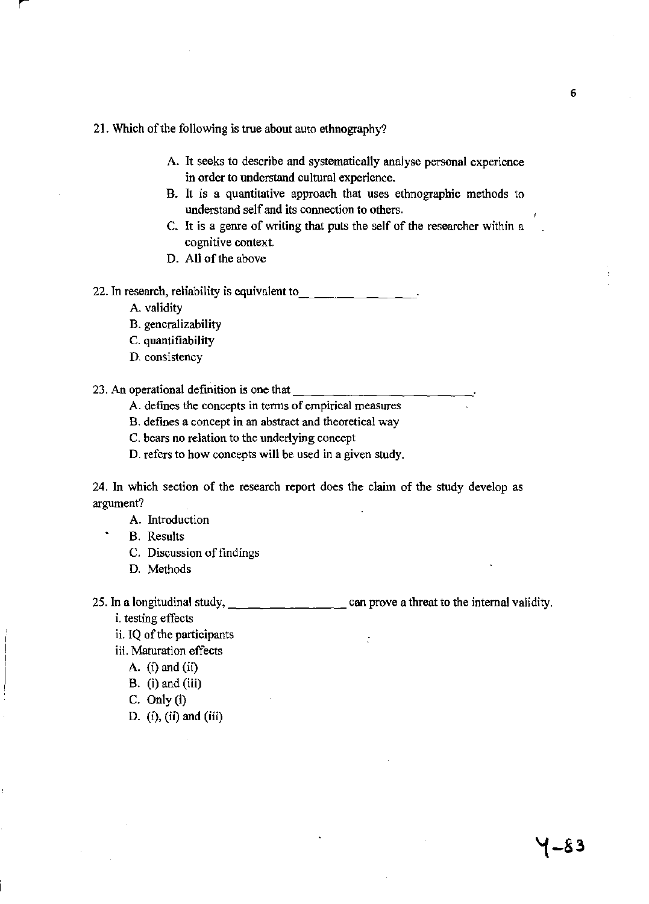### 21. Which of the following is true about auto ethnography?

- A. It seeks to describe and systematically analyse personal experience in order to understand cultural experience.
- B. It is a quantitative approach that uses ethnographic methods to understand self and its connection to others.
- C. It is a genre of writing that puts the self of the researcher within a cognitive context.
- D. All of the above

22. In research, reliability is equivalent to  $\frac{1}{\sqrt{2}}$   $\frac{1}{\sqrt{2}}$ 

- A. validity
- B. generalizability
- C. quantifiability
- D. consistency

23. An operational definition is one that  $\frac{1}{\sqrt{1-\frac{1}{\sqrt{1-\frac{1}{\sqrt{1-\frac{1}{\sqrt{1-\frac{1}{\sqrt{1-\frac{1}{\sqrt{1-\frac{1}{\sqrt{1-\frac{1}{\sqrt{1-\frac{1}{\sqrt{1-\frac{1}{\sqrt{1-\frac{1}{\sqrt{1-\frac{1}{\sqrt{1-\frac{1}{\sqrt{1-\frac{1}{\sqrt{1-\frac{1}{\sqrt{1-\frac{1}{\sqrt{1-\frac{1}{\sqrt{1-\frac{1}{\sqrt{1-\frac{1}{\sqrt{1-\frac{1}{\sqrt$ 

A. defines the concepts in tenns of empirical measures

B. defines a concept in an abstract and theoretical way

C. bears no relation to the underlying concept

D. refers to how concepts will be used in a given study.

24. In which section of the research report does the claim of the study develop as argument?

- A. Introduction
- B. Results
	- C. Discussion of findings
	- D. Methods

25. In a longitudinal study,  $\qquad \qquad \qquad \qquad \qquad$  can prove a threat to the internal validity.

÷

i. testing effects

ii. IQ of the participants

iii. Maturation effects

- A.  $(i)$  and  $(ii)$
- B. (i) and (iii)
- C. Only (i)
- D.  $(i)$ ,  $(ii)$  and  $(iii)$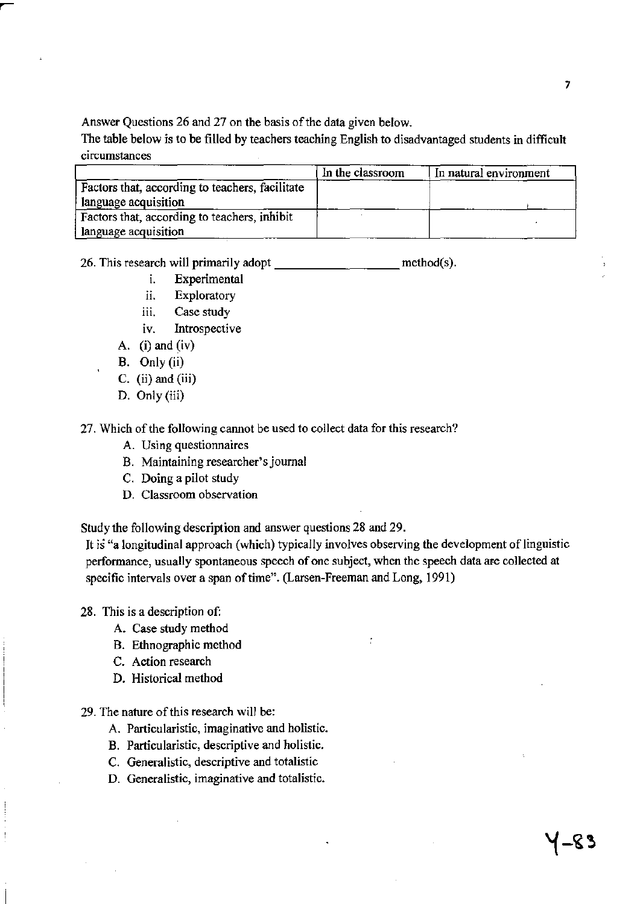Answer Questions 26 and 27 on the basis of the data given below.

The table below is to be filled by teachers teaching English to disadvantaged students in difficult circumstances

|                                                 | In the classroom | In natural environment |
|-------------------------------------------------|------------------|------------------------|
| Factors that, according to teachers, facilitate |                  |                        |
| language acquisition                            |                  |                        |
| Factors that, according to teachers, inhibit    |                  |                        |
| language acquisition                            |                  |                        |

26. This research will primarily adopt \_\_\_\_\_\_\_\_\_\_\_\_\_\_\_\_\_\_\_\_\_ method(s).

- i. Experimental
- ii. Exploratory
- iii. Case study
- iv. Introspective
- A.  $(i)$  and  $(iv)$
- B. Only (ii)
- C. (ii) and (iii)
- D. Only (iii)

27. Which of the following cannot be used to collect data for this research?

- A. Using questionnaires
- B. Maintaining researcher's journal
- C. Doing a pilot study
- D. Classroom observation

Study the following description and answer questions 28 and 29.

It is "a longitudinal approach (which) typically involves observing the development of linguistic performance, usually spontaneous speech of one subject, when the speech data are collected at specific intervals over a span of time". (Larsen-Freeman and Long, 1991)

 $\ddot{\cdot}$ 

28. This is a description of:

- A. Case study method
- B. Ethnographic method
- C. Action research
- D. Historical method
- 29. The nature of this research will be:
	- A. Particularistic, imaginative and holistic.
	- B. Particularistic, descriptive and holistic.
	- C. Generalistic, descriptive and totalistic
	- D. Generalistic, imaginative and totalistic.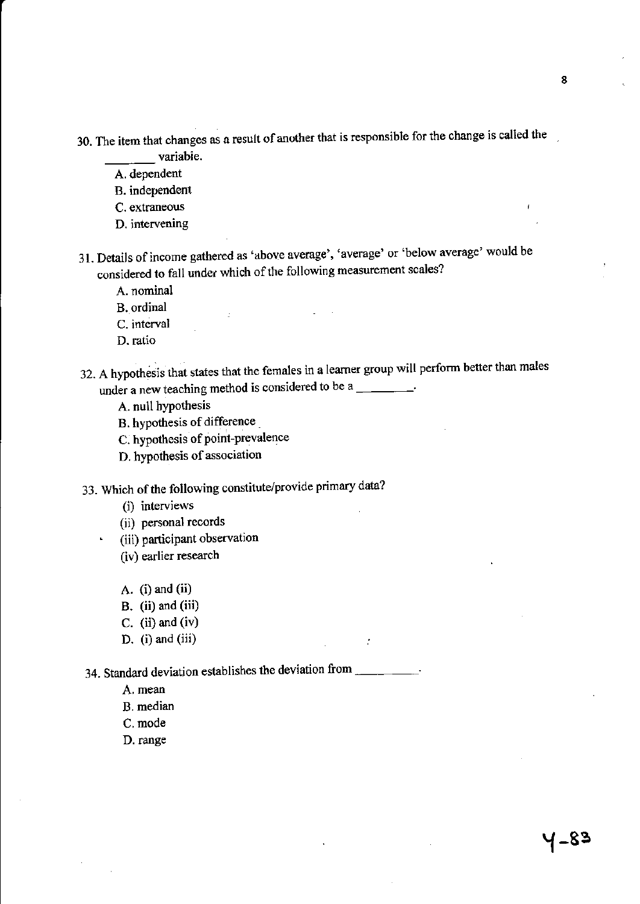30. The item that changes as a result of another that is responsible for the change is called the variabie.

A. dependent

B. independent

C. extraneous

D. intervening

31. Details of income gathered as 'above average', 'average' or 'below average' would be considered to fall under which of the following measurement scales?

A. nominal

B. ordinal

C. interval

D. ratio

32. A hypothesis that states that the females in a learner group will perform better than males under a new teaching method is considered to be a  $\frac{1}{\sqrt{1-\frac{1}{\sqrt{1-\frac{1}{\sqrt{1-\frac{1}{\sqrt{1-\frac{1}{\sqrt{1-\frac{1}{\sqrt{1-\frac{1}{\sqrt{1-\frac{1}{\sqrt{1-\frac{1}{\sqrt{1-\frac{1}{\sqrt{1-\frac{1}{\sqrt{1-\frac{1}{\sqrt{1-\frac{1}{\sqrt{1-\frac{1}{\sqrt{1-\frac{1}{\sqrt{1-\frac{1}{\sqrt{1-\frac{1}{\sqrt{1-\frac{1}{\sqrt{1-\frac{1}{\sqrt{$ 

A. null hypothesis

B. hypothesis of difference \_

C. hypothesis of point-prevalence

D. hypothesis of association

33. Which of the following constitute/provide primary data?

(i) interviews

(ii) personal records

(iii) participant observation

(iv) earlier research

A.  $(i)$  and  $(ii)$ 

B. (ii) and (iii)

c. (ii) and (iv)

D. (i) and (iii)

34. Standard deviation establishes the deviation from \_\_\_\_\_\_\_\_\_.

A. mean

B. median

C. mode

D. range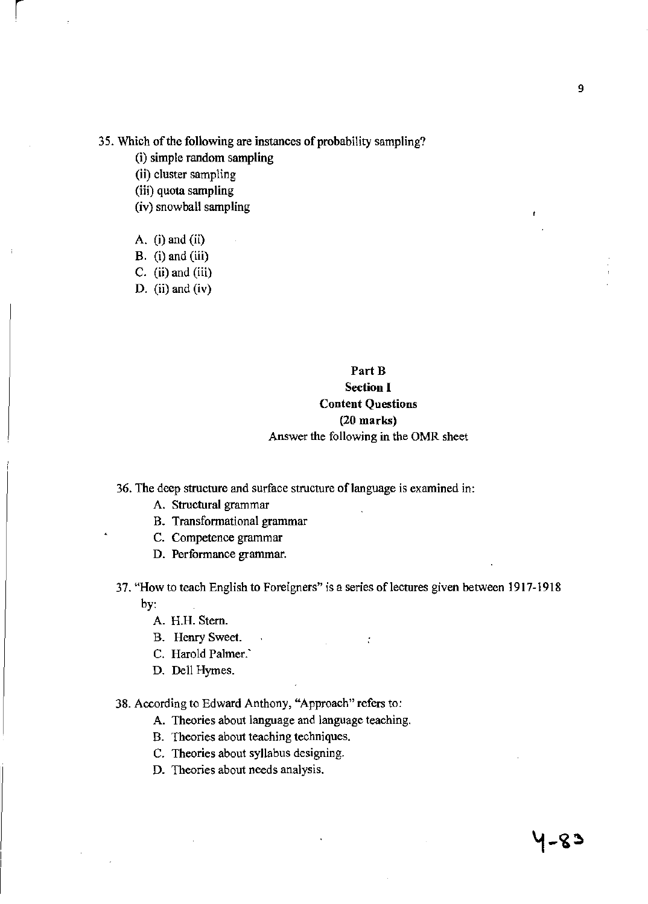### **35. Which** of the **following are instances of probability sampling?**

- **(i) simple random sampling**
- **(ii) cluster sampling**
- **(iii) quota sampling**
- **(iv) snowball sampling**
- A.  $(i)$  and  $(ii)$
- $B.$  (i) and (iii)
- C.  $(ii)$  and  $(iii)$
- D. (ii) and (iv)

# Part B **Section I Content Questions**  (20 marks) **Answer the following in the OMR sheet**

- **36. The deep structure and surface structure** of language **is examined in:** 
	- **A. Structural grammar**
	- **B. Transformational grammar**
	- **C. Competence grammar**
	- **D. Performance grammar.**
- **37. "How to teach English to Foreigners" is a series** of lectures **given between 1917-1918**  by:
	- A. H.H. Stern.
	- **B. Henry Sweet.**
	- C. Harold Palmer.
	- D. Dell Hymes.
- **38. According to Edward Anthony, "Approach" refers to:** 
	- **A. Theories about language and language teaching.**
	- **B. Theories about teaching techniques.**
	- **C. Theories about syllabus designing.**
	- **D. Theories about needs analysis.**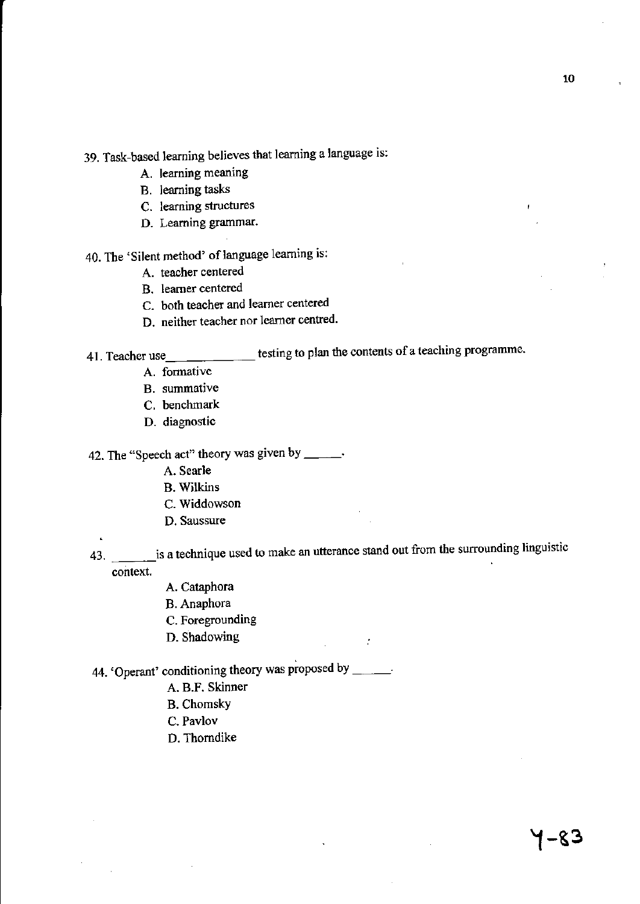- 39. Task-based learning believes that learning a language is:
	- A. learning meaning
	- B. learning tasks
	- C. learning structures
	- D. Learning grammar.
- 40. The 'Silent method' of language learning is:
	- A. teacher centered
	- B. learner centered
	- C. both teacher and learner centered
	- D. neither teacher nor learner centred.
- 

41. Teacher use \_\_\_\_\_\_\_\_\_\_\_\_ testing to plan the contents of a teaching programme.

- A. formative
- B. summative
- C. benchmark
- D. diagnostic

42. The "Speech act" theory was given by \_\_\_\_\_.

- A. Searle
- B. Wilkins
- C. Widdowson
- D. Saussure

43. **is a technique used to make an utterance stand out from the surrounding linguistic** context.

- A. Cataphora
- B. Anaphora
- C. Foregrounding
- D. Shadowing
- 44. 'Operant' conditioning theory was proposed by \_\_\_\_\_.
	- A. B.P. Skinner
	- B. Chomsky
	- C. Pavlov
	- D. Thorndike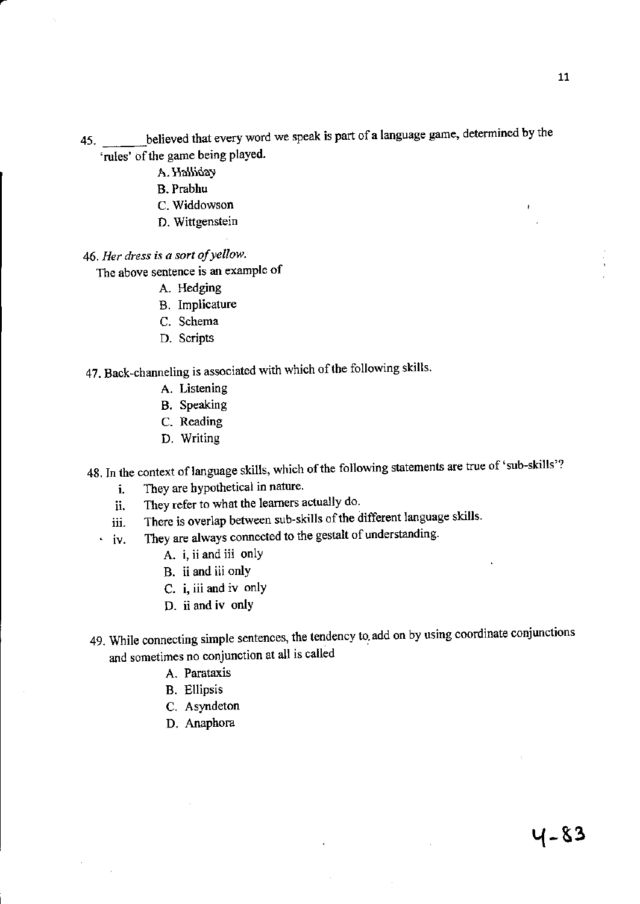- 45. believed that every word we speak is part of a language game, determined by the 'rules' of the game being played.
	- A. Halliday
	- B. Prabhu
	- C. Widdowson
	- D. Wittgenstein

*46. Her dress is a sort of yellow.* 

The above sentence is an example of

- A. Hedging
- B. Implicature
- C. Schema
- D. Scripts

47. Back-channeling is associated with which of the following skills.

- A. Listening
- B. Speaking
- C. Reading
- D. Writing

48. In the context of language skills, which of the following statements are true of 'sub-skills'?

- i. They are hypothetical in nature.
- ii. They refer to what the learners actually do.
- iii. There is overlap between sub-skills of the different language skills.
- iv. They are always connected to the gestalt of understanding.
	- A. i, ii and iii only
	- B. ii and iii only
	- C. i, iii and iv only
	- D. ii and iv only
- 49. While connecting simple sentences, the tendency to add on by using coordinate conjunctions and sometimes no conjunction at all is called
	- A. Parataxis
	- B. Ellipsis
	- C. Asyndeton
	- D. Anaphora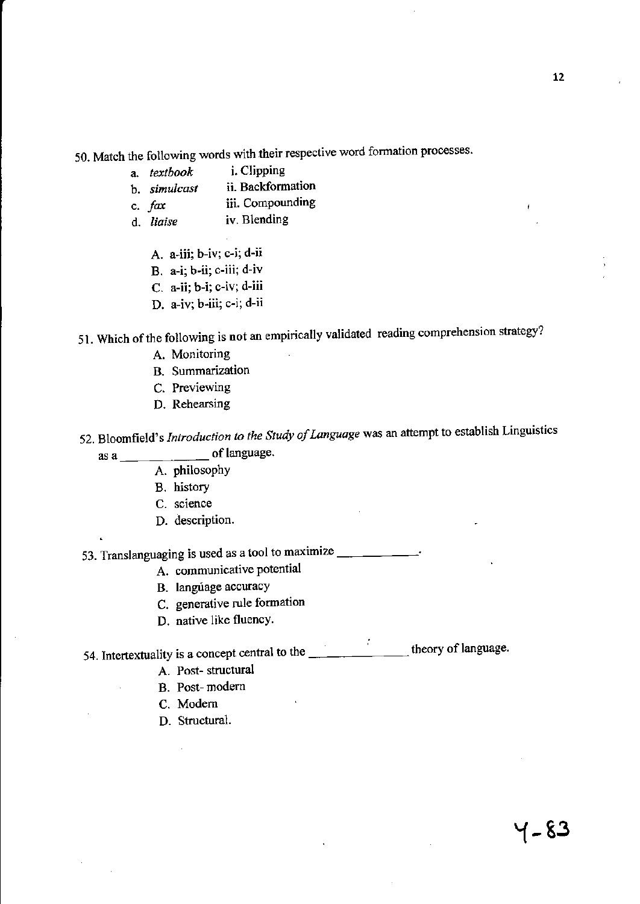50. Match the following words with their respective word formation processes.

- a. *textbook* i. Clipping
- b. *simulcast*  c. *fax*  ii. Backformation iii. Compounding
- d. *liaise*  iv. Blending
	- A. a-iii; h-iv; c-i; d-ii
	- B. a-i; b-ii; c-iii; d-iv
	- C. a-ii; b-i; c-iv; d-iii
	- D. a-iv; b-iii; c-i; d-ii
- 51. Which of the following is not an empirically validated reading comprehension strategy?
	- A. Monitoring
	- B. Summarization
	- C. Previewing
	- D. Rehearsing
- 52. Bloomfield's *Introduction to the Study of Language* was an attempt to establish Linguistics as  $a \t - \t - \t$  of language.
	- - A. philosophy
		- B. history
		- C. science
		- D. description.

53. Translanguaging is used as a tool to maximize  $\frac{1}{\sqrt{1-\frac{1}{\sqrt{1-\frac{1}{\sqrt{1-\frac{1}{\sqrt{1-\frac{1}{\sqrt{1-\frac{1}{\sqrt{1-\frac{1}{\sqrt{1-\frac{1}{\sqrt{1-\frac{1}{\sqrt{1-\frac{1}{\sqrt{1-\frac{1}{\sqrt{1-\frac{1}{\sqrt{1-\frac{1}{\sqrt{1-\frac{1}{\sqrt{1-\frac{1}{\sqrt{1-\frac{1}{\sqrt{1-\frac{1}{\sqrt{1-\frac{1}{\sqrt{1-\frac{1}{\sqrt{$ 

- A. communicative potential
- B. language accuracy
- C. generative rule formation
- D. native like fluency.

54. Intertextuality is a concept central to the \_\_\_\_\_\_\_\_\_\_\_\_\_\_\_\_\_\_\_ theory of language.

- A. Post- structural
- B. Post- modern
- C. Modem
- D. Structural.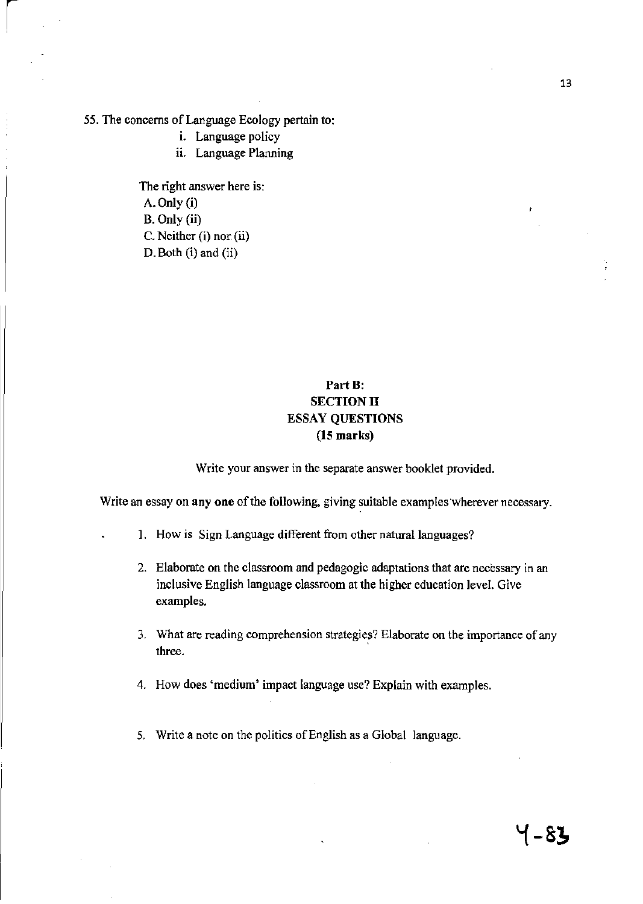55. The concerns of Language Ecology pertain to:

i. Language policy

ii. Language Planning

The right answer here is: A. Only (i) B. Only (ii) c. Neither (i) nor (ii) D. Both (i) and (ii)

# Part B: SECTION II ESSAY QUESTIONS (15 marks)

Write your answer in the separate answer booklet provided.

Write an essay on any one of the following, giving suitable examples wherever necessary.

- 1. How is Sign Language different from other natural languages?
- 2. Elaborate on the classroom and pedagogic adaptations that are necessary in an inclusive English language classroom at the higher education level. Give examples.
- 3. What are reading comprehension strategies? Elaborate on the importance of any three.
- 4. How does 'medium' impact language use? Explain with examples.
- 5. Write a note on the politics of English as a Global language.